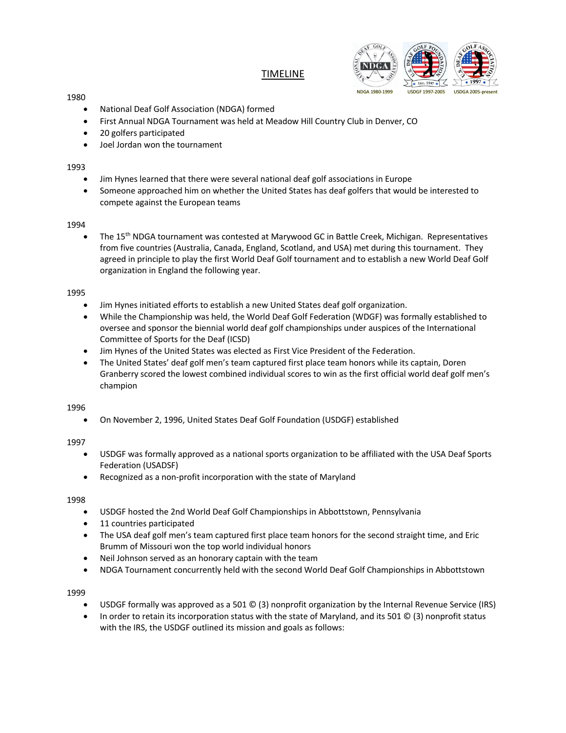# TIMELINE



#### 1980

- National Deaf Golf Association (NDGA) formed
- First Annual NDGA Tournament was held at Meadow Hill Country Club in Denver, CO
- 20 golfers participated
- Joel Jordan won the tournament

## 1993

- Jim Hynes learned that there were several national deaf golf associations in Europe
- Someone approached him on whether the United States has deaf golfers that would be interested to compete against the European teams

## 1994

• The 15th NDGA tournament was contested at Marywood GC in Battle Creek, Michigan. Representatives from five countries (Australia, Canada, England, Scotland, and USA) met during this tournament. They agreed in principle to play the first World Deaf Golf tournament and to establish a new World Deaf Golf organization in England the following year.

## 1995

- Jim Hynes initiated efforts to establish a new United States deaf golf organization.
- While the Championship was held, the World Deaf Golf Federation (WDGF) was formally established to oversee and sponsor the biennial world deaf golf championships under auspices of the International Committee of Sports for the Deaf (ICSD)
- Jim Hynes of the United States was elected as First Vice President of the Federation.
- The United States' deaf golf men's team captured first place team honors while its captain, Doren Granberry scored the lowest combined individual scores to win as the first official world deaf golf men's champion

## 1996

• On November 2, 1996, United States Deaf Golf Foundation (USDGF) established

## 1997

- USDGF was formally approved as a national sports organization to be affiliated with the USA Deaf Sports Federation (USADSF)
- Recognized as a non-profit incorporation with the state of Maryland

## 1998

- USDGF hosted the 2nd World Deaf Golf Championships in Abbottstown, Pennsylvania
- 11 countries participated
- The USA deaf golf men's team captured first place team honors for the second straight time, and Eric Brumm of Missouri won the top world individual honors
- Neil Johnson served as an honorary captain with the team
- NDGA Tournament concurrently held with the second World Deaf Golf Championships in Abbottstown

- USDGF formally was approved as a 501 © (3) nonprofit organization by the Internal Revenue Service (IRS)
- In order to retain its incorporation status with the state of Maryland, and its 501 © (3) nonprofit status with the IRS, the USDGF outlined its mission and goals as follows: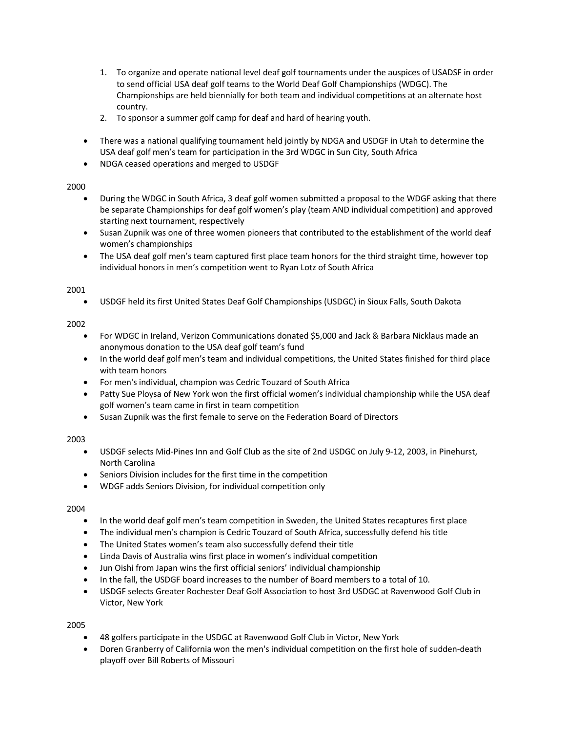- 1. To organize and operate national level deaf golf tournaments under the auspices of USADSF in order to send official USA deaf golf teams to the World Deaf Golf Championships (WDGC). The Championships are held biennially for both team and individual competitions at an alternate host country.
- 2. To sponsor a summer golf camp for deaf and hard of hearing youth.
- There was a national qualifying tournament held jointly by NDGA and USDGF in Utah to determine the USA deaf golf men's team for participation in the 3rd WDGC in Sun City, South Africa
- NDGA ceased operations and merged to USDGF

- During the WDGC in South Africa, 3 deaf golf women submitted a proposal to the WDGF asking that there be separate Championships for deaf golf women's play (team AND individual competition) and approved starting next tournament, respectively
- Susan Zupnik was one of three women pioneers that contributed to the establishment of the world deaf women's championships
- The USA deaf golf men's team captured first place team honors for the third straight time, however top individual honors in men's competition went to Ryan Lotz of South Africa

## 2001

• USDGF held its first United States Deaf Golf Championships (USDGC) in Sioux Falls, South Dakota

## 2002

- For WDGC in Ireland, Verizon Communications donated \$5,000 and Jack & Barbara Nicklaus made an anonymous donation to the USA deaf golf team's fund
- In the world deaf golf men's team and individual competitions, the United States finished for third place with team honors
- For men's individual, champion was Cedric Touzard of South Africa
- Patty Sue Ploysa of New York won the first official women's individual championship while the USA deaf golf women's team came in first in team competition
- Susan Zupnik was the first female to serve on the Federation Board of Directors

## 2003

- USDGF selects Mid-Pines Inn and Golf Club as the site of 2nd USDGC on July 9-12, 2003, in Pinehurst, North Carolina
- Seniors Division includes for the first time in the competition
- WDGF adds Seniors Division, for individual competition only

## 2004

- In the world deaf golf men's team competition in Sweden, the United States recaptures first place
- The individual men's champion is Cedric Touzard of South Africa, successfully defend his title
- The United States women's team also successfully defend their title
- Linda Davis of Australia wins first place in women's individual competition
- Jun Oishi from Japan wins the first official seniors' individual championship
- In the fall, the USDGF board increases to the number of Board members to a total of 10.
- USDGF selects Greater Rochester Deaf Golf Association to host 3rd USDGC at Ravenwood Golf Club in Victor, New York

- 48 golfers participate in the USDGC at Ravenwood Golf Club in Victor, New York
- Doren Granberry of California won the men's individual competition on the first hole of sudden-death playoff over Bill Roberts of Missouri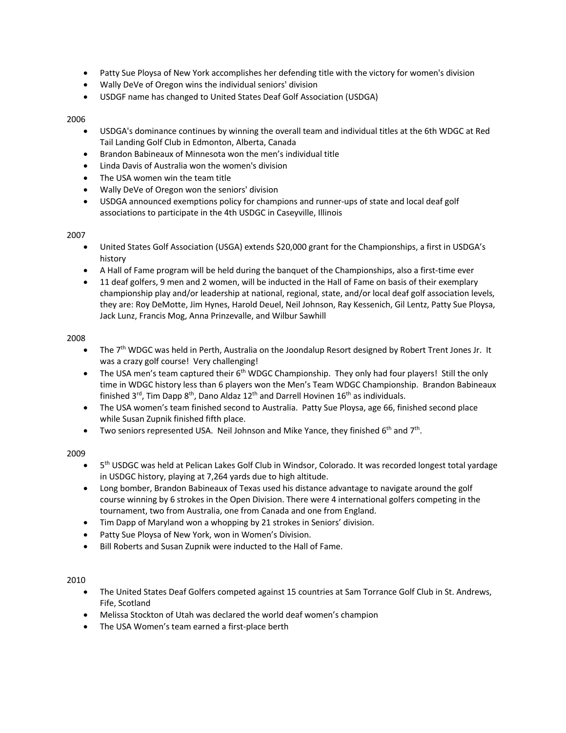- Patty Sue Ploysa of New York accomplishes her defending title with the victory for women's division
- Wally DeVe of Oregon wins the individual seniors' division
- USDGF name has changed to United States Deaf Golf Association (USDGA)

- USDGA's dominance continues by winning the overall team and individual titles at the 6th WDGC at Red Tail Landing Golf Club in Edmonton, Alberta, Canada
- Brandon Babineaux of Minnesota won the men's individual title
- Linda Davis of Australia won the women's division
- The USA women win the team title
- Wally DeVe of Oregon won the seniors' division
- USDGA announced exemptions policy for champions and runner-ups of state and local deaf golf associations to participate in the 4th USDGC in Caseyville, Illinois

#### 2007

- United States Golf Association (USGA) extends \$20,000 grant for the Championships, a first in USDGA's history
- A Hall of Fame program will be held during the banquet of the Championships, also a first-time ever
- 11 deaf golfers, 9 men and 2 women, will be inducted in the Hall of Fame on basis of their exemplary championship play and/or leadership at national, regional, state, and/or local deaf golf association levels, they are: Roy DeMotte, Jim Hynes, Harold Deuel, Neil Johnson, Ray Kessenich, Gil Lentz, Patty Sue Ploysa, Jack Lunz, Francis Mog, Anna Prinzevalle, and Wilbur Sawhill

#### 2008

- The 7<sup>th</sup> WDGC was held in Perth, Australia on the Joondalup Resort designed by Robert Trent Jones Jr. It was a crazy golf course! Very challenging!
- The USA men's team captured their  $6<sup>th</sup>$  WDGC Championship. They only had four players! Still the only time in WDGC history less than 6 players won the Men's Team WDGC Championship. Brandon Babineaux finished  $3^{rd}$ , Tim Dapp  $8^{th}$ , Dano Aldaz 12<sup>th</sup> and Darrell Hovinen 16<sup>th</sup> as individuals.
- The USA women's team finished second to Australia. Patty Sue Ploysa, age 66, finished second place while Susan Zupnik finished fifth place.
- Two seniors represented USA. Neil Johnson and Mike Yance, they finished  $6<sup>th</sup>$  and  $7<sup>th</sup>$ .

## 2009

- 5<sup>th</sup> USDGC was held at Pelican Lakes Golf Club in Windsor, Colorado. It was recorded longest total yardage in USDGC history, playing at 7,264 yards due to high altitude.
- Long bomber, Brandon Babineaux of Texas used his distance advantage to navigate around the golf course winning by 6 strokes in the Open Division. There were 4 international golfers competing in the tournament, two from Australia, one from Canada and one from England.
- Tim Dapp of Maryland won a whopping by 21 strokes in Seniors' division.
- Patty Sue Ploysa of New York, won in Women's Division.
- Bill Roberts and Susan Zupnik were inducted to the Hall of Fame.

- The United States Deaf Golfers competed against 15 countries at Sam Torrance Golf Club in St. Andrews, Fife, Scotland
- Melissa Stockton of Utah was declared the world deaf women's champion
- The USA Women's team earned a first-place berth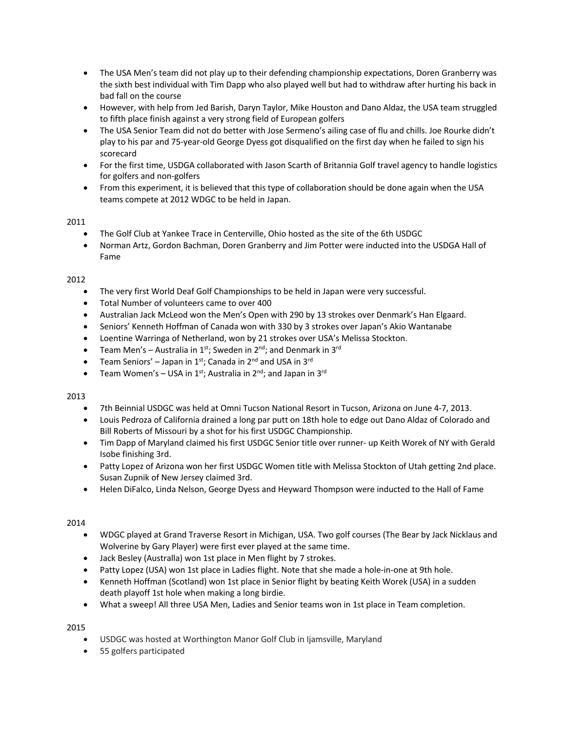- The USA Men's team did not play up to their defending championship expectations, Doren Granberry was the sixth best individual with Tim Dapp who also played well but had to withdraw after hurting his back in bad fall on the course
- However, with help from Jed Barish, Daryn Taylor, Mike Houston and Dano Aldaz, the USA team struggled to fifth place finish against a very strong field of European golfers
- The USA Senior Team did not do better with Jose Sermeno's ailing case of flu and chills. Joe Rourke didn't play to his par and 75-year-old George Dyess got disqualified on the first day when he failed to sign his scorecard
- For the first time, USDGA collaborated with Jason Scarth of Britannia Golf travel agency to handle logistics for golfers and non-golfers
- From this experiment, it is believed that this type of collaboration should be done again when the USA teams compete at 2012 WDGC to be held in Japan.

- The Golf Club at Yankee Trace in Centerville, Ohio hosted as the site of the 6th USDGC
- Norman Artz, Gordon Bachman, Doren Granberry and Jim Potter were inducted into the USDGA Hall of Fame

## 2012

- The very first World Deaf Golf Championships to be held in Japan were very successful.
- Total Number of volunteers came to over 400
- Australian Jack McLeod won the Men's Open with 290 by 13 strokes over Denmark's Han Elgaard.
- Seniors' Kenneth Hoffman of Canada won with 330 by 3 strokes over Japan's Akio Wantanabe
- Loentine Warringa of Netherland, won by 21 strokes over USA's Melissa Stockton.
- Team Men's Australia in 1<sup>st</sup>; Sweden in 2<sup>nd</sup>; and Denmark in 3<sup>rd</sup>
- Team Seniors' Japan in 1st; Canada in 2<sup>nd</sup> and USA in 3<sup>rd</sup>
- Team Women's USA in  $1^{st}$ ; Australia in  $2^{nd}$ ; and Japan in  $3^{rd}$

## 2013

- 7th Beinnial USDGC was held at Omni Tucson National Resort in Tucson, Arizona on June 4-7, 2013.
- Louis Pedroza of California drained a long par putt on 18th hole to edge out Dano Aldaz of Colorado and Bill Roberts of Missouri by a shot for his first USDGC Championship.
- Tim Dapp of Maryland claimed his first USDGC Senior title over runner- up Keith Worek of NY with Gerald Isobe finishing 3rd.
- Patty Lopez of Arizona won her first USDGC Women title with Melissa Stockton of Utah getting 2nd place. Susan Zupnik of New Jersey claimed 3rd.
- Helen DiFalco, Linda Nelson, George Dyess and Heyward Thompson were inducted to the Hall of Fame

## 2014

- WDGC played at Grand Traverse Resort in Michigan, USA. Two golf courses (The Bear by Jack Nicklaus and Wolverine by Gary Player) were first ever played at the same time.
- Jack Besley (Australla) won 1st place in Men flight by 7 strokes.
- Patty Lopez (USA) won 1st place in Ladies flight. Note that she made a hole-in-one at 9th hole.
- Kenneth Hoffman (Scotland) won 1st place in Senior flight by beating Keith Worek (USA) in a sudden death playoff 1st hole when making a long birdie.
- What a sweep! All three USA Men, Ladies and Senior teams won in 1st place in Team completion.

- USDGC was hosted at Worthington Manor Golf Club in Ijamsville, Maryland
- 55 golfers participated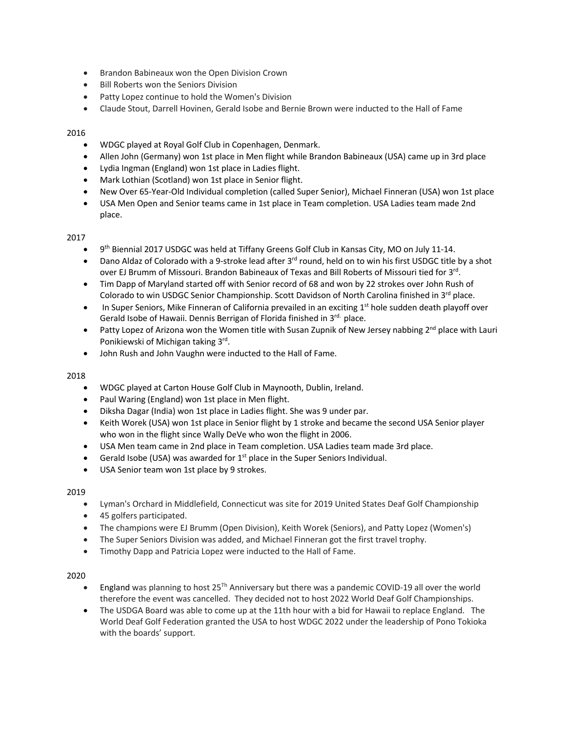- Brandon Babineaux won the Open Division Crown
- Bill Roberts won the Seniors Division
- Patty Lopez continue to hold the Women's Division
- Claude Stout, Darrell Hovinen, Gerald Isobe and Bernie Brown were inducted to the Hall of Fame

- WDGC played at Royal Golf Club in Copenhagen, Denmark.
- Allen John (Germany) won 1st place in Men flight while Brandon Babineaux (USA) came up in 3rd place
- Lydia Ingman (England) won 1st place in Ladies flight.
- Mark Lothian (Scotland) won 1st place in Senior flight.
- New Over 65-Year-Old Individual completion (called Super Senior), Michael Finneran (USA) won 1st place
- USA Men Open and Senior teams came in 1st place in Team completion. USA Ladies team made 2nd place.

## 2017

- 9<sup>th</sup> Biennial 2017 USDGC was held at Tiffany Greens Golf Club in Kansas City, MO on July 11-14.
- Dano Aldaz of Colorado with a 9-stroke lead after 3<sup>rd</sup> round, held on to win his first USDGC title by a shot over EJ Brumm of Missouri. Brandon Babineaux of Texas and Bill Roberts of Missouri tied for 3rd.
- Tim Dapp of Maryland started off with Senior record of 68 and won by 22 strokes over John Rush of Colorado to win USDGC Senior Championship. Scott Davidson of North Carolina finished in 3<sup>rd</sup> place.
- In Super Seniors, Mike Finneran of California prevailed in an exciting  $1<sup>st</sup>$  hole sudden death playoff over Gerald Isobe of Hawaii. Dennis Berrigan of Florida finished in 3<sup>rd.</sup> place.
- Patty Lopez of Arizona won the Women title with Susan Zupnik of New Jersey nabbing  $2^{nd}$  place with Lauri Ponikiewski of Michigan taking 3rd.
- John Rush and John Vaughn were inducted to the Hall of Fame.

## 2018

- WDGC played at Carton House Golf Club in Maynooth, Dublin, Ireland.
- Paul Waring (England) won 1st place in Men flight.
- Diksha Dagar (India) won 1st place in Ladies flight. She was 9 under par.
- Keith Worek (USA) won 1st place in Senior flight by 1 stroke and became the second USA Senior player who won in the flight since Wally DeVe who won the flight in 2006.
- USA Men team came in 2nd place in Team completion. USA Ladies team made 3rd place.
- Gerald Isobe (USA) was awarded for  $1<sup>st</sup>$  place in the Super Seniors Individual.
- USA Senior team won 1st place by 9 strokes.

## 2019

- Lyman's Orchard in Middlefield, Connecticut was site for 2019 United States Deaf Golf Championship
- 45 golfers participated.
- The champions were EJ Brumm (Open Division), Keith Worek (Seniors), and Patty Lopez (Women's)
- The Super Seniors Division was added, and Michael Finneran got the first travel trophy.
- Timothy Dapp and Patricia Lopez were inducted to the Hall of Fame.

- England was planning to host  $25<sup>Th</sup>$  Anniversary but there was a pandemic COVID-19 all over the world therefore the event was cancelled. They decided not to host 2022 World Deaf Golf Championships.
- The USDGA Board was able to come up at the 11th hour with a bid for Hawaii to replace England. The World Deaf Golf Federation granted the USA to host WDGC 2022 under the leadership of Pono Tokioka with the boards' support.